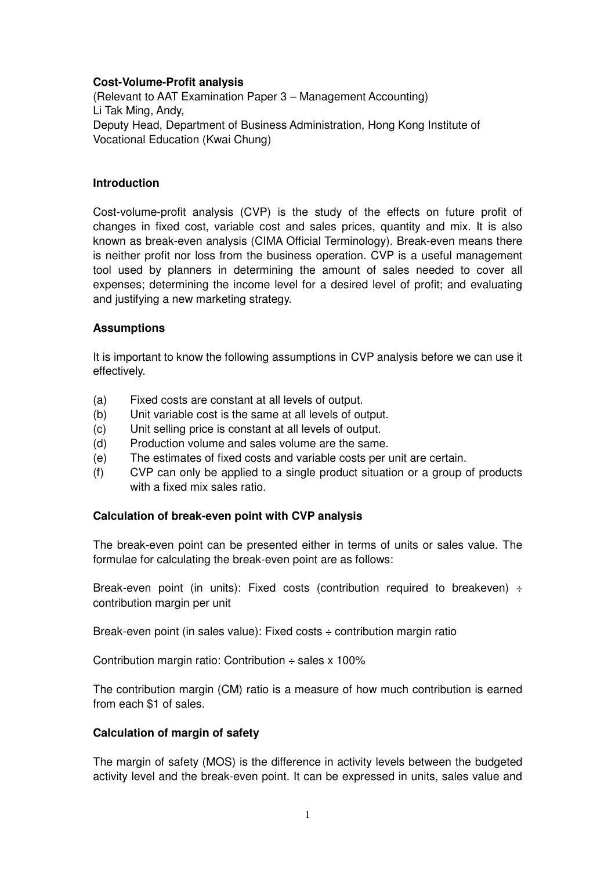# **Cost-Volume-Profit analysis**

(Relevant to AAT Examination Paper 3 – Management Accounting) Li Tak Ming, Andy, Deputy Head, Department of Business Administration, Hong Kong Institute of Vocational Education (Kwai Chung)

# **Introduction**

Cost-volume-profit analysis (CVP) is the study of the effects on future profit of changes in fixed cost, variable cost and sales prices, quantity and mix. It is also known as break-even analysis (CIMA Official Terminology). Break-even means there is neither profit nor loss from the business operation. CVP is a useful management tool used by planners in determining the amount of sales needed to cover all expenses; determining the income level for a desired level of profit; and evaluating and justifying a new marketing strategy.

# **Assumptions**

It is important to know the following assumptions in CVP analysis before we can use it effectively.

- (a) Fixed costs are constant at all levels of output.
- (b) Unit variable cost is the same at all levels of output.
- (c) Unit selling price is constant at all levels of output.
- (d) Production volume and sales volume are the same.
- (e) The estimates of fixed costs and variable costs per unit are certain.
- (f) CVP can only be applied to a single product situation or a group of products with a fixed mix sales ratio.

# **Calculation of break-even point with CVP analysis**

The break-even point can be presented either in terms of units or sales value. The formulae for calculating the break-even point are as follows:

Break-even point (in units): Fixed costs (contribution required to breakeven)  $\div$ contribution margin per unit

Break-even point (in sales value): Fixed costs  $\div$  contribution margin ratio

Contribution margin ratio: Contribution  $\div$  sales x 100%

The contribution margin (CM) ratio is a measure of how much contribution is earned from each \$1 of sales.

# **Calculation of margin of safety**

The margin of safety (MOS) is the difference in activity levels between the budgeted activity level and the break-even point. It can be expressed in units, sales value and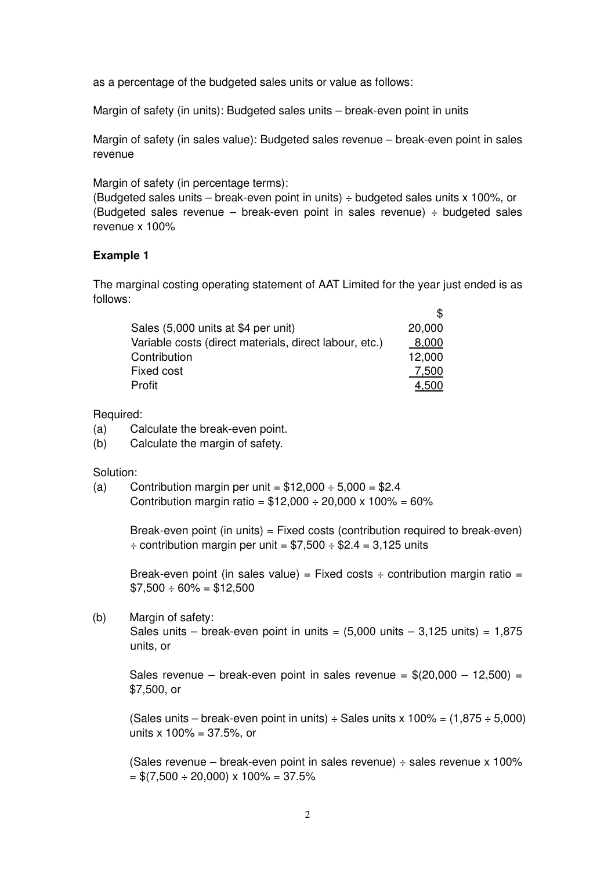as a percentage of the budgeted sales units or value as follows:

Margin of safety (in units): Budgeted sales units – break-even point in units

Margin of safety (in sales value): Budgeted sales revenue – break-even point in sales revenue

Margin of safety (in percentage terms):

(Budgeted sales units – break-even point in units)  $\div$  budgeted sales units x 100%, or (Budgeted sales revenue – break-even point in sales revenue)  $\div$  budgeted sales revenue x 100%

# **Example 1**

The marginal costing operating statement of AAT Limited for the year just ended is as follows:

| Sales (5,000 units at \$4 per unit)                    | 20,000 |
|--------------------------------------------------------|--------|
| Variable costs (direct materials, direct labour, etc.) | 8,000  |
| Contribution                                           | 12,000 |
| Fixed cost                                             | 7.500  |
| Profit                                                 |        |

Required:

- (a) Calculate the break-even point.
- (b) Calculate the margin of safety.

Solution:

(a) Contribution margin per unit =  $$12,000 \div 5,000 = $2.4$ Contribution margin ratio =  $$12,000 \div 20,000 \times 100\% = 60\%$ 

> Break-even point (in units) = Fixed costs (contribution required to break-even)  $\div$  contribution margin per unit = \$7,500  $\div$  \$2.4 = 3,125 units

> Break-even point (in sales value) = Fixed costs  $\div$  contribution margin ratio =  $$7,500 \div 60\% = $12,500$

(b) Margin of safety:

Sales units – break-even point in units =  $(5.000 \text{ units} - 3.125 \text{ units}) = 1.875$ units, or

Sales revenue – break-even point in sales revenue =  $$(20.000 - 12.500)$  = \$7,500, or

(Sales units – break-even point in units)  $\div$  Sales units x 100% = (1.875  $\div$  5.000) units  $x 100\% = 37.5\%$ , or

(Sales revenue – break-even point in sales revenue)  $\div$  sales revenue x 100%  $=$  \$(7,500  $\div$  20,000) x 100% = 37.5%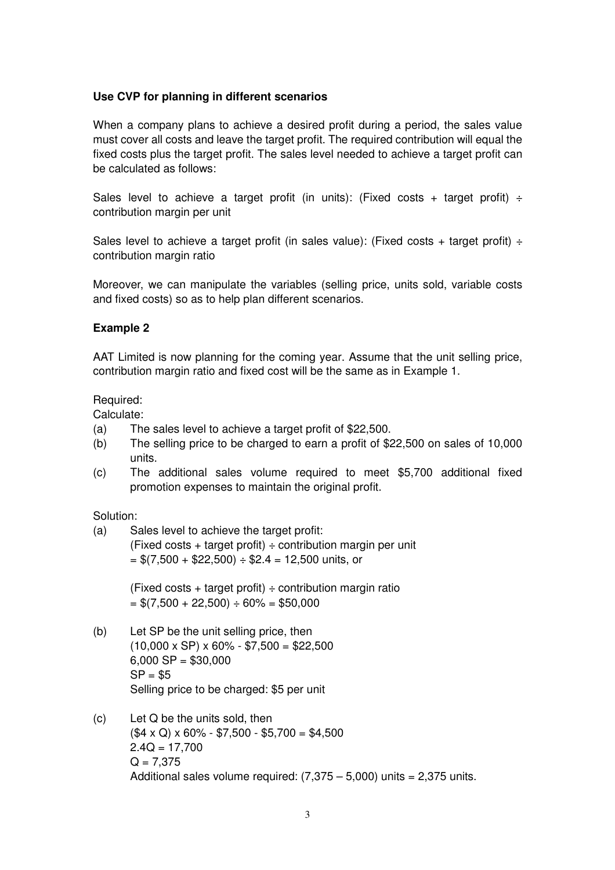# **Use CVP for planning in different scenarios**

When a company plans to achieve a desired profit during a period, the sales value must cover all costs and leave the target profit. The required contribution will equal the fixed costs plus the target profit. The sales level needed to achieve a target profit can be calculated as follows:

Sales level to achieve a target profit (in units): (Fixed costs + target profit)  $\div$ contribution margin per unit

Sales level to achieve a target profit (in sales value): (Fixed costs + target profit)  $\div$ contribution margin ratio

Moreover, we can manipulate the variables (selling price, units sold, variable costs and fixed costs) so as to help plan different scenarios.

### **Example 2**

AAT Limited is now planning for the coming year. Assume that the unit selling price, contribution margin ratio and fixed cost will be the same as in Example 1.

#### Required:

Calculate:

- (a) The sales level to achieve a target profit of \$22,500.
- (b) The selling price to be charged to earn a profit of \$22,500 on sales of 10,000 units.
- (c) The additional sales volume required to meet \$5,700 additional fixed promotion expenses to maintain the original profit.

#### Solution:

(a) Sales level to achieve the target profit: (Fixed costs + target profit)  $\div$  contribution margin per unit  $=$  \$(7,500 + \$22,500)  $\div$  \$2.4 = 12,500 units, or

> (Fixed costs + target profit)  $\div$  contribution margin ratio  $= $(7,500 + 22,500) \div 60\% = $50,000$

- (b) Let SP be the unit selling price, then  $(10,000 \times \text{SP}) \times 60\% - $7,500 = $22,500$  $6,000$  SP = \$30,000  $SP = $5$ Selling price to be charged: \$5 per unit
- (c) Let Q be the units sold, then  $(S4 \times Q) \times 60\% - $7,500 - $5,700 = $4,500$  $2.4Q = 17,700$  $Q = 7.375$ Additional sales volume required:  $(7.375 - 5.000)$  units = 2,375 units.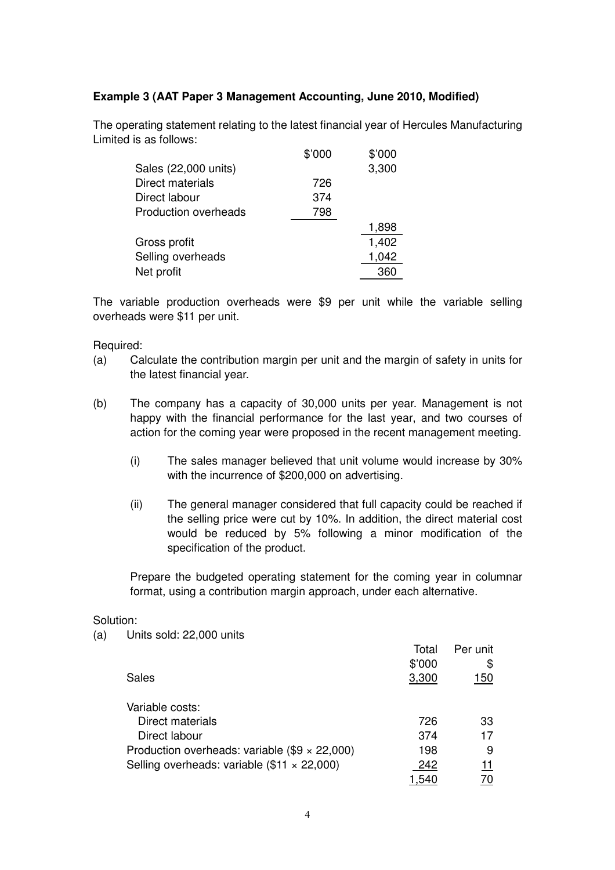# **Example 3 (AAT Paper 3 Management Accounting, June 2010, Modified)**

The operating statement relating to the latest financial year of Hercules Manufacturing Limited is as follows:

|                             | \$'000 | \$'000 |
|-----------------------------|--------|--------|
| Sales (22,000 units)        |        | 3,300  |
| Direct materials            | 726    |        |
| Direct labour               | 374    |        |
| <b>Production overheads</b> | 798    |        |
|                             |        | 1,898  |
| Gross profit                |        | 1,402  |
| Selling overheads           |        | 1,042  |
| Net profit                  |        | 360    |
|                             |        |        |

The variable production overheads were \$9 per unit while the variable selling overheads were \$11 per unit.

### Required:

- (a) Calculate the contribution margin per unit and the margin of safety in units for the latest financial year.
- (b) The company has a capacity of 30,000 units per year. Management is not happy with the financial performance for the last year, and two courses of action for the coming year were proposed in the recent management meeting.
	- (i) The sales manager believed that unit volume would increase by 30% with the incurrence of \$200,000 on advertising.
	- (ii) The general manager considered that full capacity could be reached if the selling price were cut by 10%. In addition, the direct material cost would be reduced by 5% following a minor modification of the specification of the product.

Prepare the budgeted operating statement for the coming year in columnar format, using a contribution margin approach, under each alternative.

#### Solution:

<sup>(</sup>a) Units sold: 22,000 units

|                                                      | Total  | Per unit |
|------------------------------------------------------|--------|----------|
|                                                      | \$'000 | \$       |
| Sales                                                | 3,300  | 150      |
| Variable costs:                                      |        |          |
| Direct materials                                     | 726    | 33       |
| Direct labour                                        | 374    | 17       |
| Production overheads: variable $(\$9 \times 22,000)$ | 198    | 9        |
| Selling overheads: variable $(\$11 \times 22,000)$   | 242    |          |
|                                                      | .540   |          |